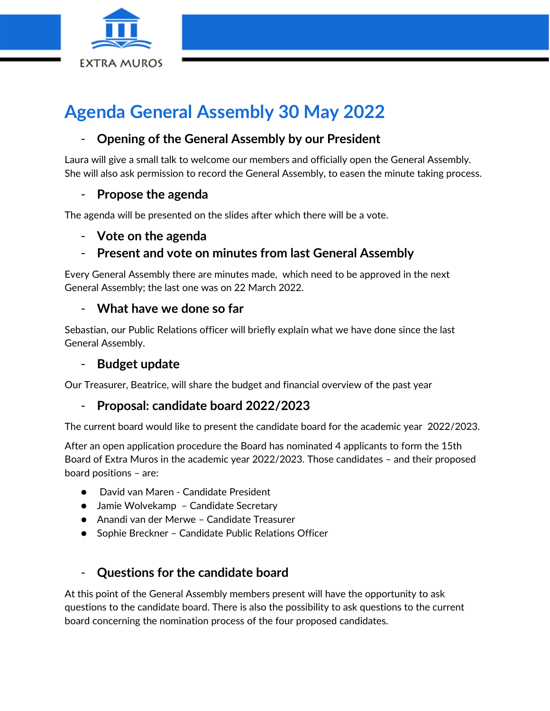

# **Agenda General Assembly 30 May 2022**

## - **Opening of the General Assembly by our President**

Laura will give a small talk to welcome our members and officially open the General Assembly. She will also ask permission to record the General Assembly, to easen the minute taking process.

## - **Propose the agenda**

The agenda will be presented on the slides after which there will be a vote.

#### - **Vote on the agenda**

## - **Present and vote on minutes from last General Assembly**

Every General Assembly there are minutes made, which need to be approved in the next General Assembly; the last one was on 22 March 2022.

#### - **What have we done so far**

Sebastian, our Public Relations officer will briefly explain what we have done since the last General Assembly.

#### - **Budget update**

Our Treasurer, Beatrice, will share the budget and financial overview of the past year

## - **Proposal: candidate board 2022/2023**

The current board would like to present the candidate board for the academic year 2022/2023.

After an open application procedure the Board has nominated 4 applicants to form the 15th Board of Extra Muros in the academic year 2022/2023. Those candidates – and their proposed board positions – are:

- David van Maren Candidate President
- Jamie Wolvekamp Candidate Secretary
- Anandi van der Merwe Candidate Treasurer
- Sophie Breckner Candidate Public Relations Officer

## - **Questions for the candidate board**

At this point of the General Assembly members present will have the opportunity to ask questions to the candidate board. There is also the possibility to ask questions to the current board concerning the nomination process of the four proposed candidates.